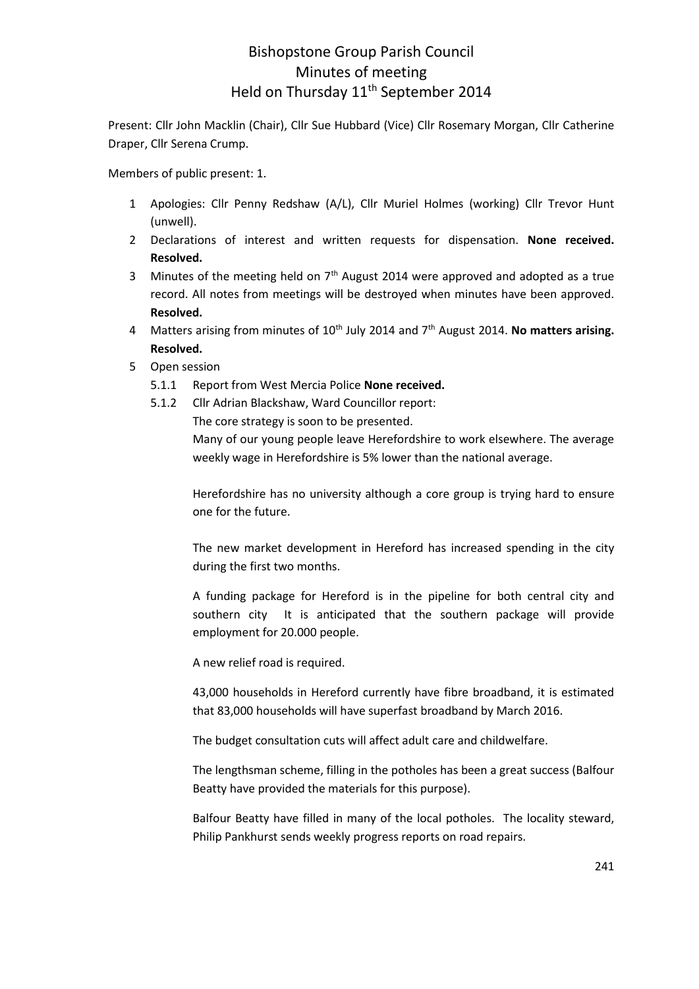## Bishopstone Group Parish Council Minutes of meeting Held on Thursday 11<sup>th</sup> September 2014

Present: Cllr John Macklin (Chair), Cllr Sue Hubbard (Vice) Cllr Rosemary Morgan, Cllr Catherine Draper, Cllr Serena Crump.

Members of public present: 1.

- 1 Apologies: Cllr Penny Redshaw (A/L), Cllr Muriel Holmes (working) Cllr Trevor Hunt (unwell).
- 2 Declarations of interest and written requests for dispensation. **None received. Resolved.**
- 3 Minutes of the meeting held on  $7<sup>th</sup>$  August 2014 were approved and adopted as a true record. All notes from meetings will be destroyed when minutes have been approved. **Resolved.**
- 4 Matters arising from minutes of 10<sup>th</sup> July 2014 and 7<sup>th</sup> August 2014. **No matters arising. Resolved.**
- 5 Open session
	- 5.1.1 Report from West Mercia Police **None received.**
	- 5.1.2 Cllr Adrian Blackshaw, Ward Councillor report:
		- The core strategy is soon to be presented.

Many of our young people leave Herefordshire to work elsewhere. The average weekly wage in Herefordshire is 5% lower than the national average.

Herefordshire has no university although a core group is trying hard to ensure one for the future.

The new market development in Hereford has increased spending in the city during the first two months.

A funding package for Hereford is in the pipeline for both central city and southern city It is anticipated that the southern package will provide employment for 20.000 people.

A new relief road is required.

43,000 households in Hereford currently have fibre broadband, it is estimated that 83,000 households will have superfast broadband by March 2016.

The budget consultation cuts will affect adult care and childwelfare.

The lengthsman scheme, filling in the potholes has been a great success (Balfour Beatty have provided the materials for this purpose).

Balfour Beatty have filled in many of the local potholes. The locality steward, Philip Pankhurst sends weekly progress reports on road repairs.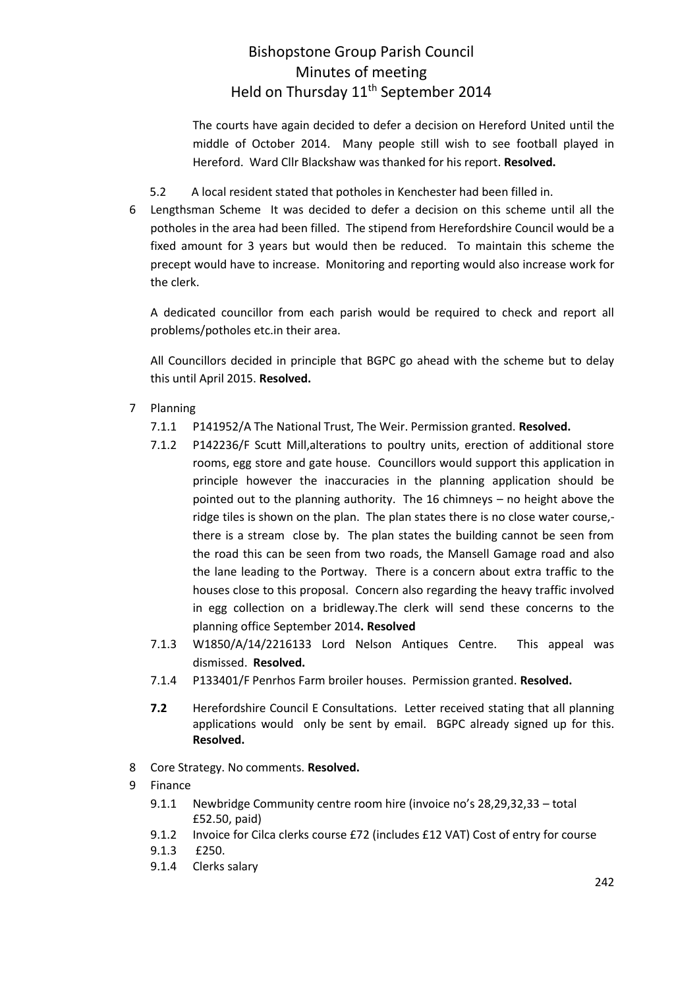## Bishopstone Group Parish Council Minutes of meeting Held on Thursday 11<sup>th</sup> September 2014

The courts have again decided to defer a decision on Hereford United until the middle of October 2014. Many people still wish to see football played in Hereford. Ward Cllr Blackshaw was thanked for his report. **Resolved.**

- 5.2 A local resident stated that potholes in Kenchester had been filled in.
- 6 Lengthsman Scheme It was decided to defer a decision on this scheme until all the potholes in the area had been filled. The stipend from Herefordshire Council would be a fixed amount for 3 years but would then be reduced. To maintain this scheme the precept would have to increase. Monitoring and reporting would also increase work for the clerk.

A dedicated councillor from each parish would be required to check and report all problems/potholes etc.in their area.

All Councillors decided in principle that BGPC go ahead with the scheme but to delay this until April 2015. **Resolved.**

- 7 Planning
	- 7.1.1 P141952/A The National Trust, The Weir. Permission granted. **Resolved.**
	- 7.1.2 P142236/F Scutt Mill,alterations to poultry units, erection of additional store rooms, egg store and gate house. Councillors would support this application in principle however the inaccuracies in the planning application should be pointed out to the planning authority. The 16 chimneys – no height above the ridge tiles is shown on the plan. The plan states there is no close water course, there is a stream close by. The plan states the building cannot be seen from the road this can be seen from two roads, the Mansell Gamage road and also the lane leading to the Portway. There is a concern about extra traffic to the houses close to this proposal. Concern also regarding the heavy traffic involved in egg collection on a bridleway.The clerk will send these concerns to the planning office September 2014**. Resolved**
	- 7.1.3 W1850/A/14/2216133 Lord Nelson Antiques Centre. This appeal was dismissed. **Resolved.**
	- 7.1.4 P133401/F Penrhos Farm broiler houses. Permission granted. **Resolved.**
	- **7.2** Herefordshire Council E Consultations. Letter received stating that all planning applications would only be sent by email. BGPC already signed up for this. **Resolved.**
- 8 Core Strategy. No comments. **Resolved.**
- 9 Finance
	- 9.1.1 Newbridge Community centre room hire (invoice no's 28,29,32,33 total £52.50, paid)
	- 9.1.2 Invoice for Cilca clerks course £72 (includes £12 VAT) Cost of entry for course
	- 9.1.3 £250.
	- 9.1.4 Clerks salary